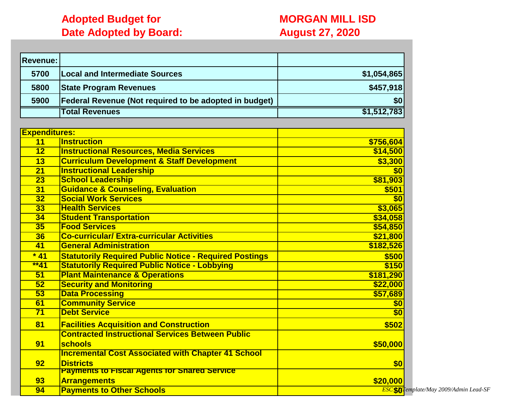## **Adopted Budget for <b>MORGAN MILL ISD Date Adopted by Board: August 27, 2020**

| <b>Revenue:</b>      |                                                               |                  |
|----------------------|---------------------------------------------------------------|------------------|
| 5700                 | <b>Local and Intermediate Sources</b>                         | \$1,054,865      |
| 5800                 | <b>State Program Revenues</b>                                 | \$457,918        |
| 5900                 | Federal Revenue (Not required to be adopted in budget)        | \$0              |
|                      | <b>Total Revenues</b>                                         | \$1,512,783      |
|                      |                                                               |                  |
| <b>Expenditures:</b> |                                                               |                  |
| 11                   | <b>Instruction</b>                                            | \$756,604        |
| $\overline{12}$      | <b>Instructional Resources, Media Services</b>                | \$14,500         |
| 13                   | <b>Curriculum Development &amp; Staff Development</b>         | \$3,300          |
| $\overline{21}$      | <b>Instructional Leadership</b>                               | $\overline{\$0}$ |
| $\overline{23}$      | <b>School Leadership</b>                                      | \$81,903         |
| $\overline{31}$      | <b>Guidance &amp; Counseling, Evaluation</b>                  | \$501            |
| $\overline{32}$      | <b>Social Work Services</b>                                   | \$0              |
| $\overline{33}$      | <b>Health Services</b>                                        | \$3,065          |
| 34                   | <b>Student Transportation</b>                                 | \$34,058         |
| 35                   | <b>Food Services</b>                                          | \$54,850         |
| $\overline{36}$      | <b>Co-curricular/ Extra-curricular Activities</b>             | \$21,800         |
| 41                   | <b>General Administration</b>                                 | \$182,526        |
| $*41$                | <b>Statutorily Required Public Notice - Required Postings</b> | \$500            |
| $**41$               | <b>Statutorily Required Public Notice - Lobbying</b>          | \$150            |
| 51                   | <b>Plant Maintenance &amp; Operations</b>                     | \$181,290        |
| 52                   | <b>Security and Monitoring</b>                                | \$22,000         |
| $\overline{53}$      | <b>Data Processing</b>                                        | \$57,689         |
| 61                   | <b>Community Service</b>                                      | \$0              |
| 71                   | <b>Debt Service</b>                                           | $\overline{\$0}$ |
| 81                   | <b>Facilities Acquisition and Construction</b>                | \$502            |
|                      | <b>Contracted Instructional Services Between Public</b>       |                  |
| 91                   | schools                                                       | \$50,000         |
|                      | <b>Incremental Cost Associated with Chapter 41 School</b>     |                  |
| 92                   | <b>Districts</b>                                              | \$0              |
|                      | <b>Payments to Fiscal Agents for Shared Service</b>           |                  |
| 93                   | <b>Arrangements</b>                                           | \$20,000         |
| 94                   | <b>Payments to Other Schools</b>                              | ESC\$01          |

**Payments to Other Schools** *ESC 12/Template/May 2009/Admin Lead-SF* **\$0**